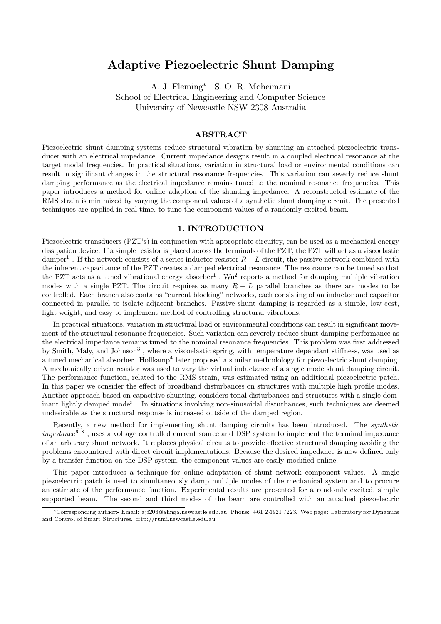# **Adaptive Piezoelectric Shunt Damping**

A. J. Fleming\* S. O. R. Moheimani School of Electrical Engineering and Computer Science University of Newcastle NSW 2308 Australia

# **ABSTRACT**

Piezoelectric shunt damping systems reduce structural vibration by shunting an attached piezoelectric transducer with an electrical impedance. Current impedance designs result in a coupled electrical resonance at the target modal frequencies. In practical situations, variation in structural load or environmental conditions can result in significant changes in the structural resonance frequencies. This variation can severly reduce shunt damping performance as the electrical impedance remains tuned to the nominal resonance frequencies. This paper introduces a method for online adaption of the shunting impedance. A reconstructed estimate of the RMS strain is minimized by varying the component values of a synthetic shunt damping circuit. The presented techniques are applied in real time, to tune the component values of a randomly excited beam.

## 1. INTRODUCTION

Piezoelectric transducers (PZT's) in conjunction with appropriate circuitry, can be used as a mechanical energy dissipation device. If a simple resistor is placed across the terminals of the PZT, the PZT will act as a viscoelastic damper<sup>1</sup>. If the network consists of a series inductor-resistor  $R-L$  circuit, the passive network combined with the inherent capacitance of the PZT creates a damped electrical resonance. The resonance can be tuned so that the PZT acts as a tuned vibrational energy absorber<sup>1</sup>. Wu<sup>2</sup> reports a method for damping multiple vibration modes with a single PZT. The circuit requires as many  $R-L$  parallel branches as there are modes to be controlled. Each branch also contains "current blocking" networks, each consisting of an inductor and capacitor connected in parallel to isolate adjacent branches. Passive shunt damping is regarded as a simple, low cost, light weight, and easy to implement method of controlling structural vibrations.

In practical situations, variation in structural load or environmental conditions can result in significant movement of the structural resonance frequencies. Such variation can severely reduce shunt damping performance as the electrical impedance remains tuned to the nominal resonance frequencies. This problem was first addressed by Smith, Maly, and Johnson<sup>3</sup>, where a viscoelastic spring, with temperature dependant stiffness, was used as a tuned mechanical absorber. Hollkamp<sup>4</sup> later proposed a similar methodology for piezoelectric shunt damping. A mechanically driven resistor was used to vary the virtual inductance of a single mode shunt damping circuit. The performance function, related to the RMS strain, was estimated using an additional piezoelectric patch. In this paper we consider the effect of broadband disturbances on structures with multiple high profile modes. Another approach based on capacitive shunting, considers tonal disturbances and structures with a single dominant lightly damped mode<sup>5</sup>. In situations involving non-sinusoidal disturbances, such techniques are deemed undesirable as the structural response is increased outside of the damped region.

Recently, a new method for implementing shunt damping circuits has been introduced. The *synthetic impedance*<sup>6-8</sup>, uses a voltage controlled current source and DSP system to implement the terminal impedance of an arbitrary shunt network. It replaces physical circuits to provide effective structural damping avoiding the problems encountered with direct circuit implementations. Because the desired impedance is now defined only by a transfer function on the DSP system, the component values are easily modified online.

This paper introduces a technique for online adaptation of shunt network component values. A single piezoelectric patch is used to simultaneously damp multiple modes of the mechanical system and to procure an estimate of the performance function. Experimental results are presented for a randomly excited, simply supported beam. The second and third modes of the beam are controlled with an attached piezoelectric

<sup>\*</sup>Corresponding author:- Email: ajf203@alinga.newcastle.edu.au; Phone: +61 2 4921 7223. Web page: Laboratory for Dynamics and Control of Smart Structures, http://rumi.newcastle.edu.au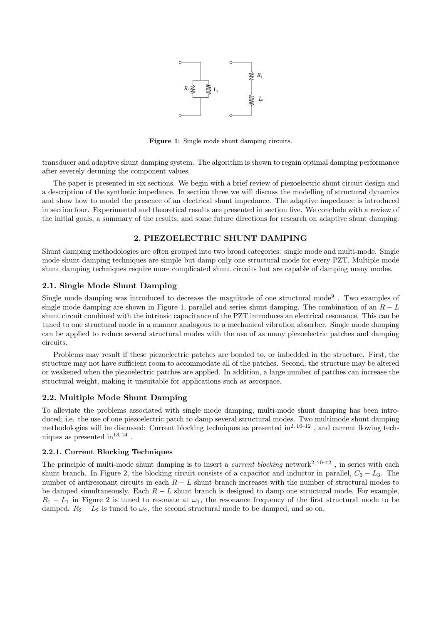

Figure 1: Single mode shunt damping circuits.

transducer and adaptive shunt damping system. The algorithm is shown to regain optimal damping performance after severely detuning the component values.

The paper is presented in six sections. We begin with a brief review of piezoelectric shunt circuit design and a description of the synthetic impedance. In section three we will discuss the modelling of structural dynamics and show how to model the presence of an electrical shunt impedance. The adaptive impedance is introduced in section four. Experimental and theoretical results are presented in section five. We conclude with a review of the initial goals, a summary of the results, and some future directions for research on adaptive shunt damping.

# 2. PIEZOELECTRIC SHUNT DAMPING

Shunt damping methodologies are often grouped into two broad categories: single mode and multi-mode. Single mode shunt damping techniques are simple but damp only one structural mode for every PZT. Multiple mode shunt damping techniques require more complicated shunt circuits but are capable of damping many modes.

## 2.1. Single Mode Shunt Damping

Single mode damping was introduced to decrease the magnitude of one structural mode<sup>9</sup>. Two examples of single mode damping are shown in Figure 1, parallel and series shunt damping. The combination of an  $R-L$ shunt circuit combined with the intrinsic capacitance of the PZT introduces an electrical resonance. This can be tuned to one structural mode in a manner analogous to a mechanical vibration absorber. Single mode damping can be applied to reduce several structural modes with the use of as many piezoelectric patches and damping circuits.

Problems may result if these piezoelectric patches are bonded to, or imbedded in the structure. First, the structure may not have sufficient room to accommodate all of the patches. Second, the structure may be altered or weakened when the piezoelectric patches are applied. In addition, a large number of patches can increase the structural weight, making it unsuitable for applications such as aerospace.

## 2.2. Multiple Mode Shunt Damping

To alleviate the problems associated with single mode damping, multi-mode shunt damping has been introduced; i.e. the use of one piezoelectric patch to damp several structural modes. Two multimode shunt damping methodologies will be discussed: Current blocking techniques as presented in $^{2, 10-12}$ , and current flowing techniques as presented in  $13, 14$ .

## 2.2.1. Current Blocking Techniques

The principle of multi-mode shunt damping is to insert a *current blocking* network<sup>2, 10-12</sup>, in series with each shunt branch. In Figure 2, the blocking circuit consists of a capacitor and inductor in parallel,  $C_3 - L_3$ . The number of antiresonant circuits in each  $R-L$  shunt branch increases with the number of structural modes to be damped simultaneously. Each  $R - L$  shunt branch is designed to damp one structural mode. For example,  $R_1 - L_1$  in Figure 2 is tuned to resonate at  $\omega_1$ , the resonance frequency of the first structural mode to be damped.  $R_2 - L_2$  is tuned to  $\omega_2$ , the second structural mode to be damped, and so on.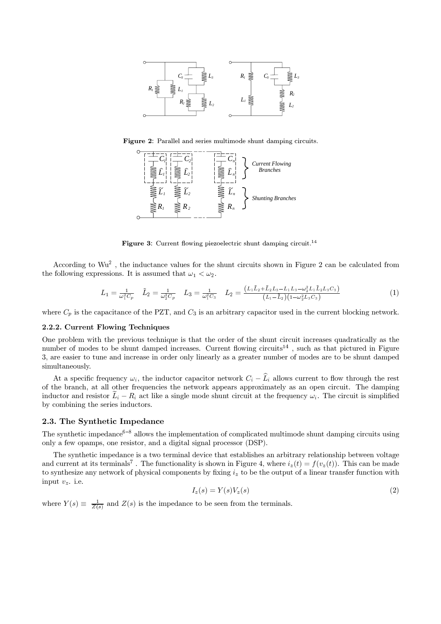

Figure 2: Parallel and series multimode shunt damping circuits.



**Figure 3:** Current flowing piezoelectric shunt damping circuit.<sup>14</sup>

According to Wu<sup>2</sup>, the inductance values for the shunt circuits shown in Figure 2 can be calculated from the following expressions. It is assumed that  $\omega_1 < \omega_2$ .

$$
L_1 = \frac{1}{\omega_1^2 C_p} \quad \tilde{L}_2 = \frac{1}{\omega_2^2 C_p} \quad L_3 = \frac{1}{\omega_1^2 C_3} \quad L_2 = \frac{(L_1 \tilde{L}_2 + \tilde{L}_2 L_3 - L_1 L_3 - \omega_2^2 L_1 \tilde{L}_2 L_3 C_3)}{(L_1 - \tilde{L}_2)(1 - \omega_2^2 L_3 C_3)} \tag{1}
$$

where  $C_p$  is the capacitance of the PZT, and  $C_3$  is an arbitrary capacitor used in the current blocking network.

#### 2.2.2. Current Flowing Techniques

One problem with the previous technique is that the order of the shunt circuit increases quadratically as the number of modes to be shunt damped increases. Current flowing circuits<sup>14</sup>, such as that pictured in Figure 3, are easier to tune and increase in order only linearly as a greater number of modes are to be shunt damped simultaneously.

At a specific frequency  $\omega_i$ , the inductor capacitor network  $C_i - \hat{L}_i$  allows current to flow through the rest of the branch, at all other frequencies the network appears approximately as an open circuit. The damping inductor and resistor  $\tilde{L}_i - R_i$  act like a single mode shunt circuit at the frequency  $\omega_i$ . The circuit is simplified by combining the series inductors.

#### 2.3. The Synthetic Impedance

The synthetic impedance<sup>6-8</sup> allows the implementation of complicated multimode shunt damping circuits using only a few opamps, one resistor, and a digital signal processor (DSP).

The synthetic impedance is a two terminal device that establishes an arbitrary relationship between voltage and current at its terminals<sup>7</sup>. The functionality is shown in Figure 4, where  $i_z(t) = f(v_z(t))$ . This can be made to synthesize any network of physical components by fixing  $i_z$  to be the output of a linear transfer function with input  $v_z$ . i.e.

$$
I_z(s) = Y(s)V_z(s)
$$
\n<sup>(2)</sup>

where  $Y(s) \equiv \frac{1}{Z(s)}$  and  $Z(s)$  is the impedance to be seen from the terminals.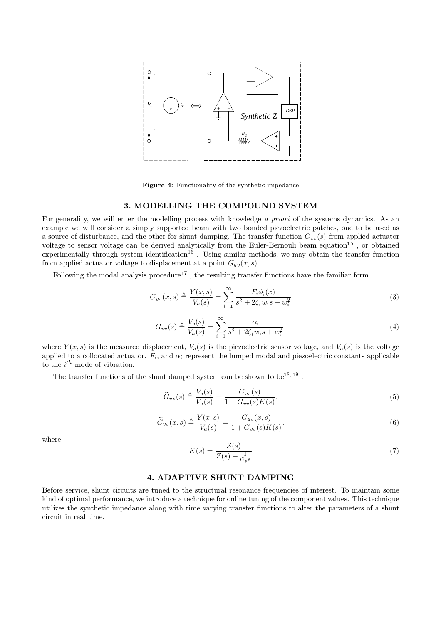

Figure 4: Functionality of the synthetic impedance

# 3. MODELLING THE COMPOUND SYSTEM

For generality, we will enter the modelling process with knowledge a priori of the systems dynamics. As an example we will consider a simply supported beam with two bonded piezoelectric patches, one to be used as a source of disturbance, and the other for shunt damping. The transfer function  $G_{vv}(s)$  from applied actuator voltage to sensor voltage can be derived analytically from the Euler-Bernouli beam equation<sup>15</sup>, or obtained experimentally through system identification<sup>16</sup>. Using similar methods, we may obtain the transfer function from applied actuator voltage to displacement at a point  $G_{yv}(x, s)$ .

Following the modal analysis procedure<sup>17</sup>, the resulting transfer functions have the familiar form.

$$
G_{yv}(x,s) \triangleq \frac{Y(x,s)}{V_a(s)} = \sum_{i=1}^{\infty} \frac{F_i \phi_i(x)}{s^2 + 2\zeta_i w_i s + w_i^2}
$$
(3)

$$
G_{vv}(s) \triangleq \frac{V_s(s)}{V_a(s)} = \sum_{i=1}^{\infty} \frac{\alpha_i}{s^2 + 2\zeta_i w_i s + w_i^2}.
$$
\n
$$
(4)
$$

where  $Y(x, s)$  is the measured displacement,  $V_s(s)$  is the piezoelectric sensor voltage, and  $V_a(s)$  is the voltage applied to a collocated actuator.  $F_i$ , and  $\alpha_i$  represent the lumped modal and piezoelectric constants applicable to the  $i^{th}$  mode of vibration.

The transfer functions of the shunt damped system can be shown to be<sup>18, 19</sup>:

$$
\widetilde{G}_{vv}(s) \triangleq \frac{V_s(s)}{V_a(s)} = \frac{G_{vv}(s)}{1 + G_{vv}(s)K(s)}.
$$
\n<sup>(5)</sup>

$$
\widetilde{G}_{yv}(x,s) \triangleq \frac{Y(x,s)}{V_a(s)} = \frac{G_{yv}(x,s)}{1 + G_{vv}(s)K(s)}.
$$
\n
$$
(6)
$$

where

$$
K(s) = \frac{Z(s)}{Z(s) + \frac{1}{C_{n}s}}\tag{7}
$$

# **4. ADAPTIVE SHUNT DAMPING**

Before service, shunt circuits are tuned to the structural resonance frequencies of interest. To maintain some kind of optimal performance, we introduce a technique for online tuning of the component values. This technique utilizes the synthetic impedance along with time varying transfer functions to alter the parameters of a shunt circuit in real time.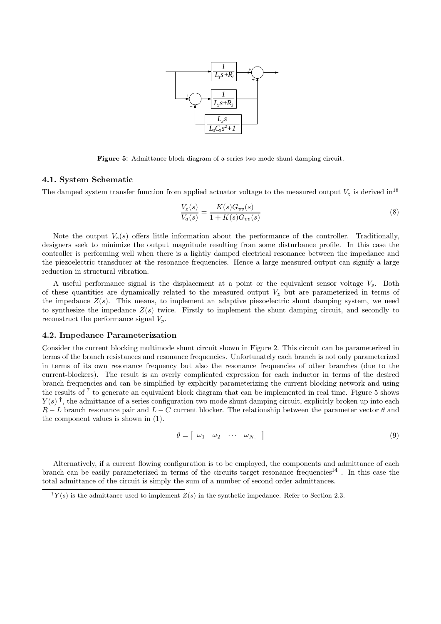

Figure 5: Admittance block diagram of a series two mode shunt damping circuit.

## 4.1. System Schematic

The damped system transfer function from applied actuator voltage to the measured output  $V_z$  is derived in <sup>18</sup>

$$
\frac{V_z(s)}{V_a(s)} = \frac{K(s)G_{vv}(s)}{1 + K(s)G_{vv}(s)}
$$
\n(8)

Note the output  $V_z(s)$  offers little information about the performance of the controller. Traditionally, designers seek to minimize the output magnitude resulting from some disturbance profile. In this case the controller is performing well when there is a lightly damped electrical resonance between the impedance and the piezoelectric transducer at the resonance frequencies. Hence a large measured output can signify a large reduction in structural vibration.

A useful performance signal is the displacement at a point or the equivalent sensor voltage  $V_s$ . Both of these quantities are dynamically related to the measured output  $V_z$  but are parameterized in terms of the impedance  $Z(s)$ . This means, to implement an adaptive piezoelectric shunt damping system, we need to synthesize the impedance  $Z(s)$  twice. Firstly to implement the shunt damping circuit, and secondly to reconstruct the performance signal  $V_p$ .

# 4.2. Impedance Parameterization

Consider the current blocking multimode shunt circuit shown in Figure 2. This circuit can be parameterized in terms of the branch resistances and resonance frequencies. Unfortunately each branch is not only parameterized in terms of its own resonance frequency but also the resonance frequencies of other branches (due to the current-blockers). The result is an overly complicated expression for each inductor in terms of the desired branch frequencies and can be simplified by explicitly parameterizing the current blocking network and using the results of  $7$  to generate an equivalent block diagram that can be implemented in real time. Figure 5 shows  $Y(s)$ <sup>†</sup>, the admittance of a series configuration two mode shunt damping circuit, explicitly broken up into each  $R-L$  branch resonance pair and  $L-C$  current blocker. The relationship between the parameter vector  $\theta$  and the component values is shown in  $(1)$ .

$$
\theta = \left[ \begin{array}{cccc} \omega_1 & \omega_2 & \cdots & \omega_{N_{\omega}} \end{array} \right] \tag{9}
$$

Alternatively, if a current flowing configuration is to be employed, the components and admittance of each branch can be easily parameterized in terms of the circuits target resonance frequencies<sup>14</sup>. In this case the total admittance of the circuit is simply the sum of a number of second order admittances.

 $^{\dagger}Y(s)$  is the admittance used to implement  $Z(s)$  in the synthetic impedance. Refer to Section 2.3.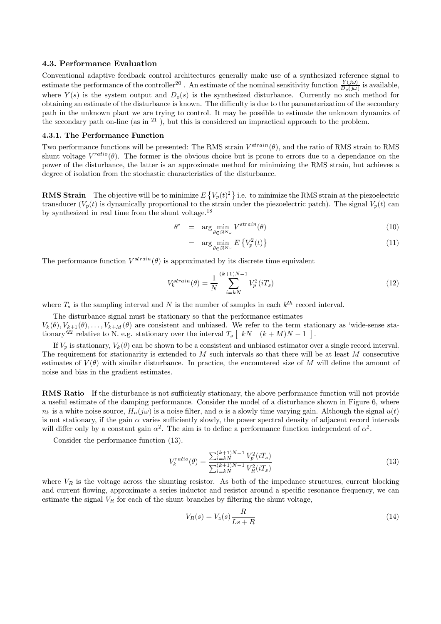#### 4.3. Performance Evaluation

Conventional adaptive feedback control architectures generally make use of a synthesized reference signal to estimate the performance of the controller<sup>20</sup>. An estimate of the nominal sensitivity function  $\frac{Y(j\omega)}{D_o(j\omega)}$  is available, where  $Y(s)$  is the system output and  $D_o(s)$  is the synthesized disturbance. Currently no such obtaining an estimate of the disturbance is known. The difficulty is due to the parameterization of the secondary path in the unknown plant we are trying to control. It may be possible to estimate the unknown dynamics of the secondary path on-line (as in  $21$ ), but this is considered an impractical approach to the problem.

# 4.3.1. The Performance Function

Two performance functions will be presented: The RMS strain  $V^{strain}(\theta)$ , and the ratio of RMS strain to RMS shunt voltage  $V^{ratio}(\theta)$ . The former is the obvious choice but is prone to errors due to a dependance on the power of the disturbance, the latter is an approximate method for minimizing the RMS strain, but achieves a degree of isolation from the stochastic characteristics of the disturbance.

**RMS Strain** The objective will be to minimize  $E\{V_p(t)^2\}$  i.e. to minimize the RMS strain at the piezoelectric transducer  $(V_p(t))$  is dynamically proportional to the strain under the piezoelectric patch). The signal  $V_p(t)$  can by synthesized in real time from the shunt voltage. $^{18}$ 

$$
\theta^* = \arg\min_{\theta \in \mathfrak{B}^{N_{\text{cl}}}} V^{strain}(\theta) \tag{10}
$$

$$
= \arg\min_{\theta \in \mathbb{R}^{N_{\omega}}} E\left\{V_p^2(t)\right\} \tag{11}
$$

The performance function  $V^{strain}(\theta)$  is approximated by its discrete time equivalent

$$
V_k^{strain}(\theta) = \frac{1}{N} \sum_{i=kN}^{(k+1)N-1} V_p^2(iT_s)
$$
 (12)

where  $T_s$  is the sampling interval and N is the number of samples in each  $k^{th}$  record interval.

The disturbance signal must be stationary so that the performance estimates  $V_k(\theta), V_{k+1}(\theta), \ldots, V_{k+M}(\theta)$  are consistent and unbiased. We refer to the term stationary as 'wide-sense stationary<sup>'22</sup> relative to N. e.g. stationary over the interval  $T_s \begin{bmatrix} kN & (k+M)N-1 \end{bmatrix}$ .

If  $V_p$  is stationary,  $V_k(\theta)$  can be shown to be a consistent and unbiased estimator over a single record interval. The requirement for stationarity is extended to  $M$  such intervals so that there will be at least  $M$  consecutive estimates of  $V(\theta)$  with similar disturbance. In practice, the encountered size of M will define the amount of noise and bias in the gradient estimates.

**RMS** Ratio If the disturbance is not sufficiently stationary, the above performance function will not provide a useful estimate of the damping performance. Consider the model of a disturbance shown in Figure 6, where  $n_k$  is a white noise source,  $H_n(i\omega)$  is a noise filter, and  $\alpha$  is a slowly time varying gain. Although the signal  $u(t)$ is not stationary, if the gain  $\alpha$  varies sufficiently slowly, the power spectral density of adjacent record intervals will differ only by a constant gain  $\alpha^2$ . The aim is to define a performance function independent of  $\alpha^2$ .

Consider the performance function (13).

$$
V_k^{ratio}(\theta) = \frac{\sum_{i=kN}^{(k+1)N-1} V_p^2(iT_s)}{\sum_{i=kN}^{(k+1)N-1} V_R^2(iT_s)}
$$
(13)

where  $V_R$  is the voltage across the shunting resistor. As both of the impedance structures, current blocking and current flowing, approximate a series inductor and resistor around a specific resonance frequency, we can estimate the signal  $V_R$  for each of the shunt branches by filtering the shunt voltage,

$$
V_R(s) = V_z(s) \frac{R}{Ls + R}
$$
\n<sup>(14)</sup>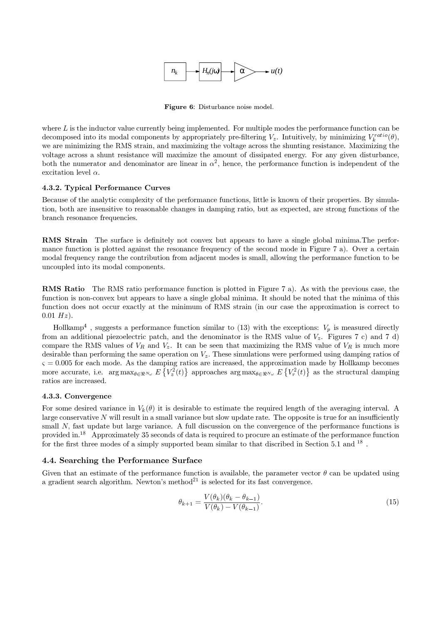

Figure 6: Disturbance noise model.

where  $L$  is the inductor value currently being implemented. For multiple modes the performance function can be decomposed into its modal components by appropriately pre-filtering  $V_z$ . Intuitively, by minimizing  $V_i^{ratio}(\theta)$ , we are minimizing the RMS strain, and maximizing the voltage across the shunting resistance. Maximizing the voltage across a shunt resistance will maximize the amount of dissipated energy. For any given disturbance, both the numerator and denominator are linear in  $\alpha^2$ , hence, the performance function is independent of the excitation level  $\alpha$ .

# 4.3.2. Typical Performance Curves

Because of the analytic complexity of the performance functions, little is known of their properties. By simulation, both are insensitive to reasonable changes in damping ratio, but as expected, are strong functions of the branch resonance frequencies.

**RMS** Strain The surface is definitely not convex but appears to have a single global minima. The performance function is plotted against the resonance frequency of the second mode in Figure 7 a). Over a certain modal frequency range the contribution from adjacent modes is small, allowing the performance function to be uncoupled into its modal components.

**RMS** Ratio The RMS ratio performance function is plotted in Figure 7 a). As with the previous case, the function is non-convex but appears to have a single global minima. It should be noted that the minima of this function does not occur exactly at the minimum of RMS strain (in our case the approximation is correct to  $0.01 Hz$ .

Hollkamp<sup>4</sup>, suggests a performance function similar to (13) with the exceptions:  $V_p$  is measured directly from an additional piezoelectric patch, and the denominator is the RMS value of  $V_z$ . Figures 7 c) and 7 d) compare the RMS values of  $V_R$  and  $V_z$ . It can be seen that maximizing the RMS value of  $V_R$  is much more desirable than performing the same operation on  $V_z$ . These simulations were performed using damping ratios of  $\zeta = 0.005$  for each mode. As the damping ratios are increased, the approximation made by Hollkamp becomes more accurate, i.e.  $\arg \max_{\theta \in \Re^{N_{\omega}}} E\left\{V_z^2(t)\right\}$  approaches  $\arg \max_{\theta \in \Re^{N_{\omega}}} E\left\{V_r^2(t)\right\}$  as the structural damping ratios are increased.

## 4.3.3. Convergence

For some desired variance in  $V_k(\theta)$  it is desirable to estimate the required length of the averaging interval. A large conservative  $N$  will result in a small variance but slow update rate. The opposite is true for an insufficiently small N, fast update but large variance. A full discussion on the convergence of the performance functions is provided in.<sup>18</sup> Approximately 35 seconds of data is required to procure an estimate of the performance function for the first three modes of a simply supported beam similar to that discribed in Section 5.1 and  $^{18}$ .

# 4.4. Searching the Performance Surface

Given that an estimate of the performance function is available, the parameter vector  $\theta$  can be updated using a gradient search algorithm. Newton's method<sup>21</sup> is selected for its fast convergence.

$$
\theta_{k+1} = \frac{V(\theta_k)(\theta_k - \theta_{k-1})}{V(\theta_k) - V(\theta_{k-1})}.
$$
\n(15)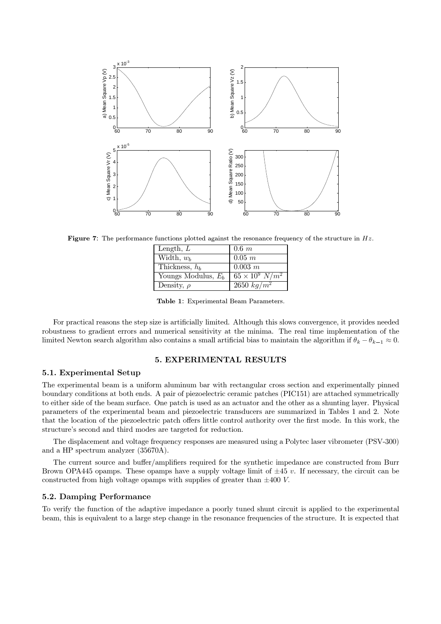

Figure 7: The performance functions plotted against the resonance frequency of the structure in  $Hz$ .

| Length, $L$           | $0.6\ m$                 |
|-----------------------|--------------------------|
| Width, $w_b$          | $0.05$ m                 |
| Thickness, $h_b$      | $0.003 \; m$             |
| Youngs Modulus, $E_b$ | $65 \times 10^9 \ N/m^2$ |
| Density, $\rho$       | $2650 \ kg/m^2$          |

Table 1: Experimental Beam Parameters.

For practical reasons the step size is artificially limited. Although this slows convergence, it provides needed robustness to gradient errors and numerical sensitivity at the minima. The real time implementation of the limited Newton search algorithm also contains a small artificial bias to maintain the algorithm if  $\theta_k - \theta_{k-1} \approx 0$ .

# **5. EXPERIMENTAL RESULTS**

# 5.1. Experimental Setup

The experimental beam is a uniform aluminum bar with rectangular cross section and experimentally pinned boundary conditions at both ends. A pair of piezoelectric ceramic patches (PIC151) are attached symmetrically to either side of the beam surface. One patch is used as an actuator and the other as a shunting layer. Physical parameters of the experimental beam and piezoelectric transducers are summarized in Tables 1 and 2. Note that the location of the piezoelectric patch offers little control authority over the first mode. In this work, the structure's second and third modes are targeted for reduction.

The displacement and voltage frequency responses are measured using a Polytec laser vibrometer (PSV-300) and a HP spectrum analyzer (35670A).

The current source and buffer/amplifiers required for the synthetic impedance are constructed from Burr Brown OPA445 opamps. These opamps have a supply voltage limit of  $\pm 45$  v. If necessary, the circuit can be constructed from high voltage opamps with supplies of greater than  $\pm 400$  V.

## 5.2. Damping Performance

To verify the function of the adaptive impedance a poorly tuned shunt circuit is applied to the experimental beam, this is equivalent to a large step change in the resonance frequencies of the structure. It is expected that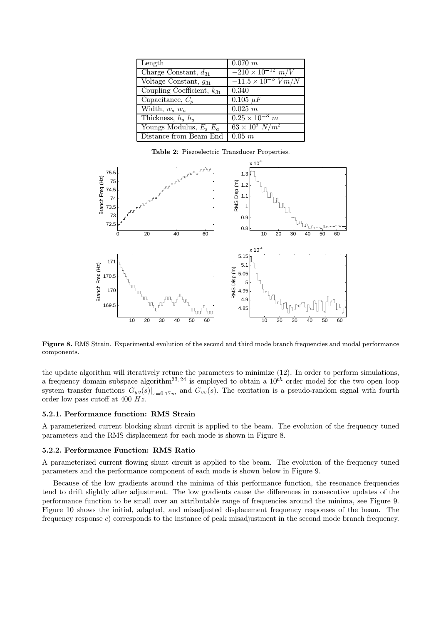| Length                         | $0.070$ m                      |
|--------------------------------|--------------------------------|
| Charge Constant, $d_{31}$      | $-210 \times 10^{-12}$ m/V     |
| Voltage Constant, $g_{31}$     | $-11.5 \times 10^{-3}$ $V/m/N$ |
| Coupling Coefficient, $k_{31}$ | 0.340                          |
| Capacitance, $C_p$             | $0.105 \mu F$                  |
| Width, $w_s$ $w_a$             | 0.025 m                        |
| Thickness, $h_s$ $h_a$         | $0.25 \times 10^{-3}$ m        |
| Youngs Modulus, $E_s E_a$      | $63 \times 10^9 \ N/m^2$       |
| Distance from Beam End         | $0.05$ $m$                     |

Table 2: Piezoelectric Transducer Properties.



Figure 8. RMS Strain. Experimental evolution of the second and third mode branch frequencies and modal performance components.

the update algorithm will iteratively retune the parameters to minimize (12). In order to perform simulations, a frequency domain subspace algorithm<sup>23, 24</sup> is employed to obtain a  $10^{th}$  order model for the two open loop system transfer functions  $G_{yv}(s)|_{x=0.17m}$  and  $G_{vv}(s)$ . The excitation is a pseudo-random signal with fourth order low pass cutoff at 400  $Hz$ .

#### 5.2.1. Performance function: RMS Strain

A parameterized current blocking shunt circuit is applied to the beam. The evolution of the frequency tuned parameters and the RMS displacement for each mode is shown in Figure 8.

#### 5.2.2. Performance Function: RMS Ratio

A parameterized current flowing shunt circuit is applied to the beam. The evolution of the frequency tuned parameters and the performance component of each mode is shown below in Figure 9.

Because of the low gradients around the minima of this performance function, the resonance frequencies tend to drift slightly after adjustment. The low gradients cause the differences in consecutive updates of the performance function to be small over an attributable range of frequencies around the minima, see Figure 9. Figure 10 shows the initial, adapted, and misadjusted displacement frequency responses of the beam. The frequency response  $c$ ) corresponds to the instance of peak misadjustment in the second mode branch frequency.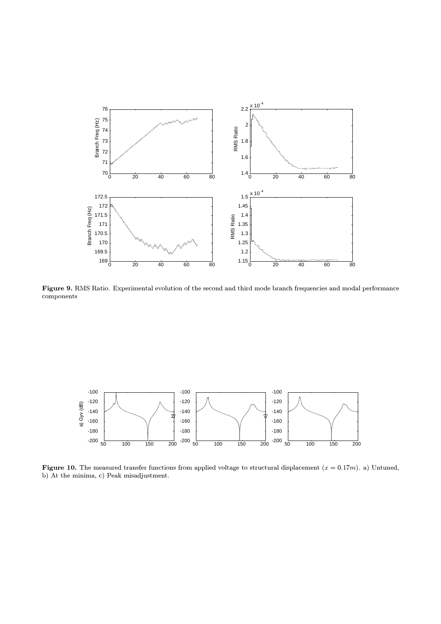

Figure 9. RMS Ratio. Experimental evolution of the second and third mode branch frequencies and modal performance components



Figure 10. The measured transfer functions from applied voltage to structural displacement  $(x = 0.17m)$ . a) Untuned, b) At the minima, c) Peak misadjustment.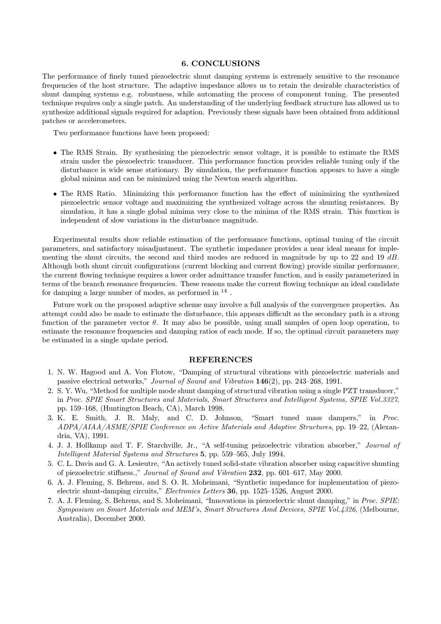# **6. CONCLUSIONS**

The performance of finely tuned piezoelectric shunt damping systems is extremely sensitive to the resonance frequencies of the host structure. The adaptive impedance allows us to retain the desirable characteristics of shunt damping systems e.g. robustness, while automating the process of component tuning. The presented technique requires only a single patch. An understanding of the underlying feedback structure has allowed us to synthesize additional signals required for adaption. Previously these signals have been obtained from additional patches or accelerometers.

Two performance functions have been proposed:

- The RMS Strain. By synthesizing the piezoelectric sensor voltage, it is possible to estimate the RMS strain under the piezoelectric transducer. This performance function provides reliable tuning only if the disturbance is wide sense stationary. By simulation, the performance function appears to have a single global minima and can be minimized using the Newton search algorithm.
- The RMS Ratio. Minimizing this performance function has the effect of minimizing the synthesized piezoelectric sensor voltage and maximizing the synthesized voltage across the shunting resistances. By simulation, it has a single global minima very close to the minima of the RMS strain. This function is independent of slow variations in the disturbance magnitude.

Experimental results show reliable estimation of the performance functions, optimal tuning of the circuit parameters, and satisfactory misadjustment. The synthetic impedance provides a near ideal means for implementing the shunt circuits, the second and third modes are reduced in magnitude by up to 22 and 19 dB. Although both shunt circuit configurations (current blocking and current flowing) provide similar performance, the current flowing technique requires a lower order admittance transfer function, and is easily parameterized in terms of the branch resonance frequencies. These reasons make the current flowing technique an ideal candidate for damping a large number of modes, as performed in  $^{14}$ .

Future work on the proposed adaptive scheme may involve a full analysis of the convergence properties. An attempt could also be made to estimate the disturbance, this appears difficult as the secondary path is a strong function of the parameter vector  $\theta$ . It may also be possible, using small samples of open loop operation, to estimate the resonance frequencies and damping ratios of each mode. If so, the optimal circuit parameters may be estimated in a single update period.

#### **REFERENCES**

- 1. N. W. Hagood and A. Von Flotow, "Damping of structural vibrations with piezoelectric materials and passive electrical networks," Journal of Sound and Vibration 146(2), pp. 243-268, 1991.
- 2. S. Y. Wu, "Method for multiple mode shunt damping of structural vibration using a single PZT transducer," in Proc. SPIE Smart Structures and Materials, Smart Structures and Intelligent Systems, SPIE Vol.3327, pp. 159-168, (Huntington Beach, CA), March 1998.
- 3. K. E. Smith, J. R. Maly, and C. D. Johnson, "Smart tuned mass dampers," in Proc. ADPA/AIAA/ASME/SPIE Conference on Active Materials and Adaptive Structures, pp. 19–22, (Alexandria, VA), 1991.
- 4. J. J. Hollkamp and T. F. Starchville. Jr., "A self-tuning peizoelectric vibration absorber," Journal of Intelligent Material Systems and Structures 5, pp. 559–565, July 1994.
- 5. C. L. Davis and G. A. Lesieutre, "An actively tuned solid-state vibration absorber using capacitive shunting of piezoelectric stiffness.," Journal of Sound and Vibration 232, pp. 601–617, May 2000.
- 6. A. J. Fleming, S. Behrens, and S. O. R. Moheimani, "Synthetic impedance for implementation of piezoelectric shunt-damping circuits," *Electronics Letters* 36, pp. 1525–1526, August 2000.
- 7. A. J. Fleming, S. Behrens, and S. Moheimani, "Innovations in piezoelectric shunt damping," in Proc. SPIE: Symposium on Smart Materials and MEM's, Smart Structures Amd Devices, SPIE Vol.4326, (Melbourne, Australia), December 2000.